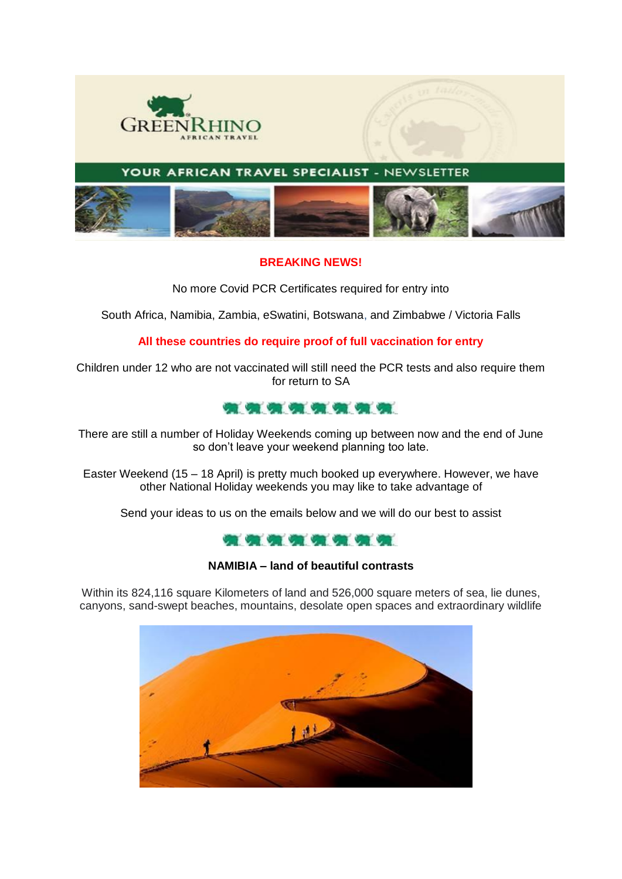

YOUR AFRICAN TRAVEL SPECIALIST - NEWSLETTER



#### **BREAKING NEWS!**

No more Covid PCR Certificates required for entry into

South Africa, Namibia, Zambia, eSwatini, Botswana, and Zimbabwe / Victoria Falls

### **All these countries do require proof of full vaccination for entry**

Children under 12 who are not vaccinated will still need the PCR tests and also require them for return to SA



There are still a number of Holiday Weekends coming up between now and the end of June so don't leave your weekend planning too late.

Easter Weekend (15 – 18 April) is pretty much booked up everywhere. However, we have other National Holiday weekends you may like to take advantage of

Send your ideas to us on the emails below and we will do our best to assist



#### **NAMIBIA – land of beautiful contrasts**

Within its 824,116 square Kilometers of land and 526,000 square meters of sea, lie dunes, canyons, sand-swept beaches, mountains, desolate open spaces and extraordinary wildlife

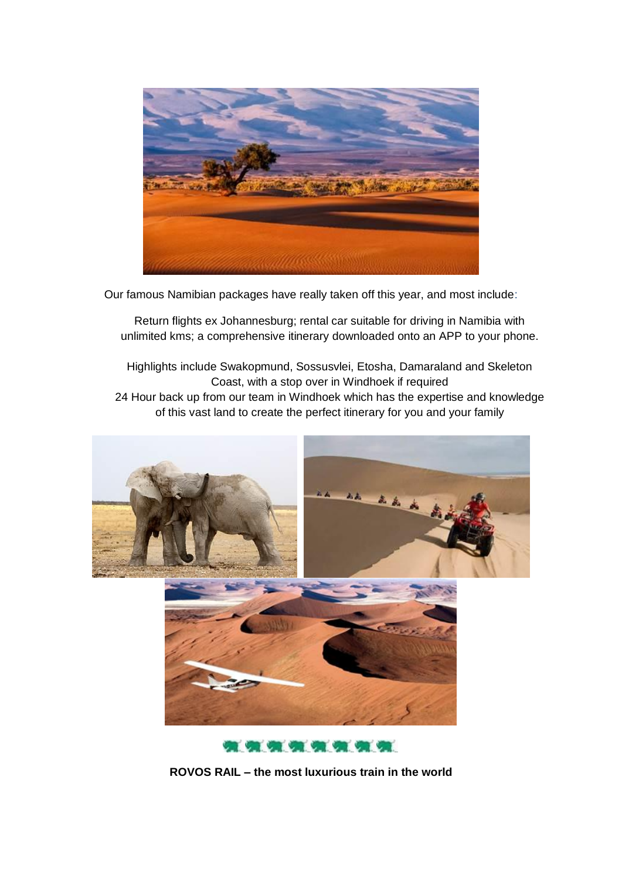

Our famous Namibian packages have really taken off this year, and most include:

Return flights ex Johannesburg; rental car suitable for driving in Namibia with unlimited kms; a comprehensive itinerary downloaded onto an APP to your phone.

Highlights include Swakopmund, Sossusvlei, Etosha, Damaraland and Skeleton Coast, with a stop over in Windhoek if required 24 Hour back up from our team in Windhoek which has the expertise and knowledge of this vast land to create the perfect itinerary for you and your family



\*\*\*\*\*\*\*\*

**ROVOS RAIL – the most luxurious train in the world**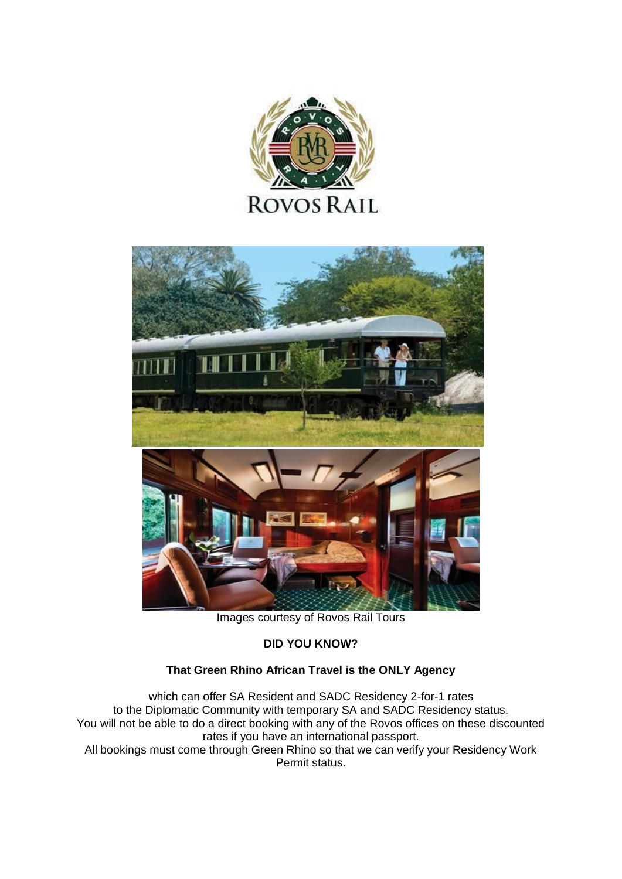



Images courtesy of Rovos Rail Tours

### **DID YOU KNOW?**

# **That Green Rhino African Travel is the ONLY Agency**

which can offer SA Resident and SADC Residency 2-for-1 rates to the Diplomatic Community with temporary SA and SADC Residency status. You will not be able to do a direct booking with any of the Rovos offices on these discounted rates if you have an international passport. All bookings must come through Green Rhino so that we can verify your Residency Work Permit status.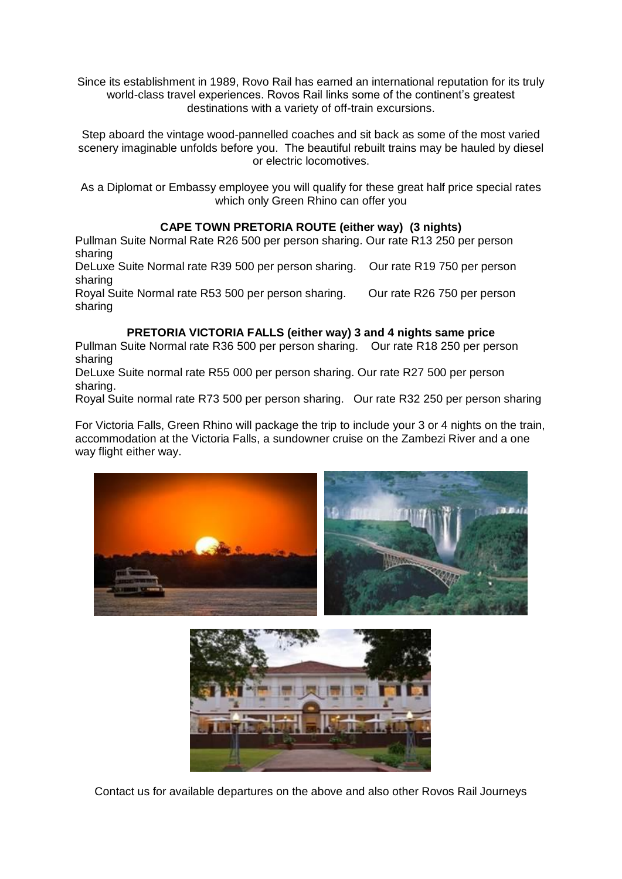Since its establishment in 1989, Rovo Rail has earned an international reputation for its truly world-class travel experiences. Rovos Rail links some of the continent's greatest destinations with a variety of off-train excursions.

Step aboard the vintage wood-pannelled coaches and sit back as some of the most varied scenery imaginable unfolds before you. The beautiful rebuilt trains may be hauled by diesel or electric locomotives.

As a Diplomat or Embassy employee you will qualify for these great half price special rates which only Green Rhino can offer you

# **CAPE TOWN PRETORIA ROUTE (either way) (3 nights)**

Pullman Suite Normal Rate R26 500 per person sharing. Our rate R13 250 per person sharing

DeLuxe Suite Normal rate R39 500 per person sharing. Our rate R19 750 per person sharing

Royal Suite Normal rate R53 500 per person sharing. Our rate R26 750 per person sharing

### **PRETORIA VICTORIA FALLS (either way) 3 and 4 nights same price**

Pullman Suite Normal rate R36 500 per person sharing. Our rate R18 250 per person sharing

DeLuxe Suite normal rate R55 000 per person sharing. Our rate R27 500 per person sharing.

Royal Suite normal rate R73 500 per person sharing. Our rate R32 250 per person sharing

For Victoria Falls, Green Rhino will package the trip to include your 3 or 4 nights on the train, accommodation at the Victoria Falls, a sundowner cruise on the Zambezi River and a one way flight either way.





Contact us for available departures on the above and also other Rovos Rail Journeys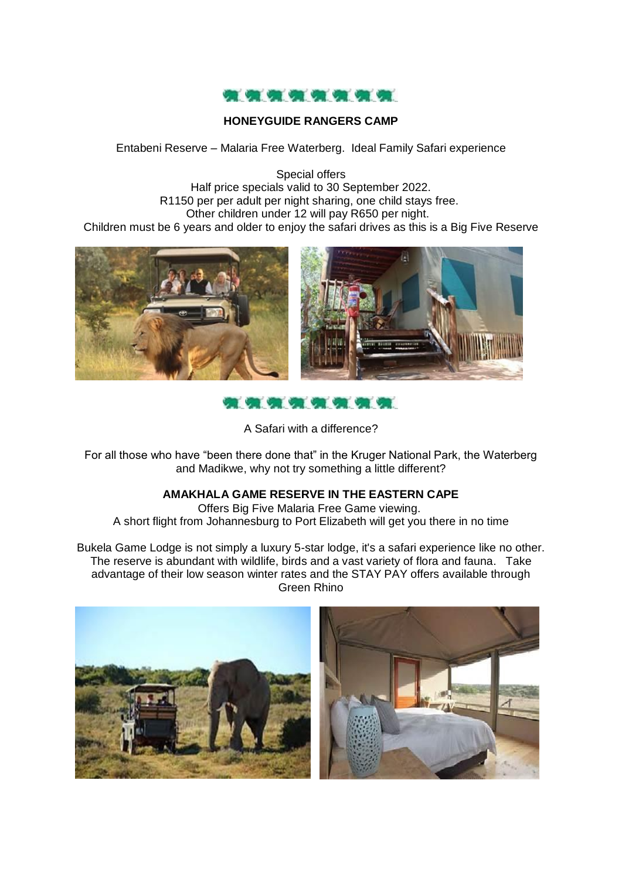

# **HONEYGUIDE RANGERS CAMP**

Entabeni Reserve – Malaria Free Waterberg. Ideal Family Safari experience

Special offers Half price specials valid to 30 September 2022. R1150 per per adult per night sharing, one child stays free. Other children under 12 will pay R650 per night. Children must be 6 years and older to enjoy the safari drives as this is a Big Five Reserve





A Safari with a difference?

For all those who have "been there done that" in the Kruger National Park, the Waterberg and Madikwe, why not try something a little different?

# **AMAKHALA GAME RESERVE IN THE EASTERN CAPE**

Offers Big Five Malaria Free Game viewing. A short flight from Johannesburg to Port Elizabeth will get you there in no time

Bukela Game Lodge is not simply a luxury 5-star lodge, it's a safari experience like no other. The reserve is abundant with wildlife, birds and a vast variety of flora and fauna. Take advantage of their low season winter rates and the STAY PAY offers available through Green Rhino

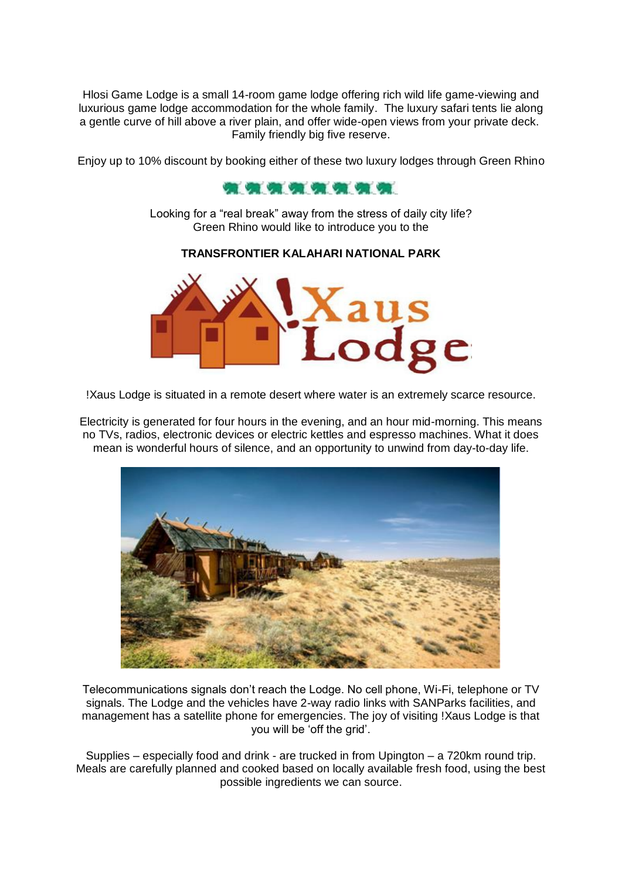Hlosi Game Lodge is a small 14-room game lodge offering rich wild life game-viewing and luxurious game lodge accommodation for the whole family. The luxury safari tents lie along a gentle curve of hill above a river plain, and offer wide-open views from your private deck. Family friendly big five reserve.

Enjoy up to 10% discount by booking either of these two luxury lodges through Green Rhino



Looking for a "real break" away from the stress of daily city life? Green Rhino would like to introduce you to the

#### **TRANSFRONTIER KALAHARI NATIONAL PARK**



!Xaus Lodge is situated in a remote desert where water is an extremely scarce resource.

Electricity is generated for four hours in the evening, and an hour mid-morning. This means no TVs, radios, electronic devices or electric kettles and espresso machines. What it does mean is wonderful hours of silence, and an opportunity to unwind from day-to-day life.



Telecommunications signals don't reach the Lodge. No cell phone, Wi-Fi, telephone or TV signals. The Lodge and the vehicles have 2-way radio links with SANParks facilities, and management has a satellite phone for emergencies. The joy of visiting !Xaus Lodge is that you will be 'off the grid'.

Supplies – especially food and drink - are trucked in from Upington – a 720km round trip. Meals are carefully planned and cooked based on locally available fresh food, using the best possible ingredients we can source.